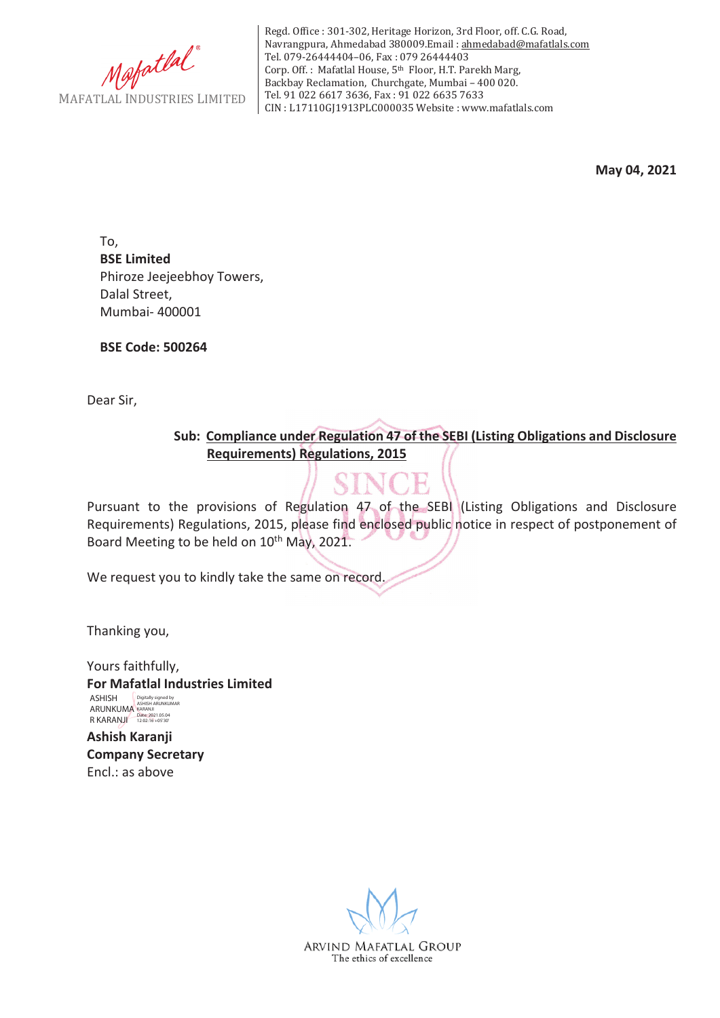

Regd. Office : 301-302, Heritage Horizon, 3rd Floor, off. C.G. Road, Navrangpura, Ahmedabad 380009.Email : ahmedabad@mafatlals.com Tel. 079-26444404–06, Fax : 079 26444403 Corp. Off. : Mafatlal House, 5th Floor, H.T. Parekh Marg, Backbay Reclamation, Churchgate, Mumbai – 400 020. Tel. 91 022 6617 3636, Fax : 91 022 6635 7633 CIN : L17110GJ1913PLC000035 Website : www.mafatlals.com

**May 04, 2021**

To, **BSE Limited** Phiroze Jeejeebhoy Towers, Dalal Street, Mumbai- 400001

**BSE Code: 500264**

Dear Sir,

**Sub:Compliance under Regulation 47 of the SEBI (Listing Obligations and Disclosure Requirements) Regulations, 2015**

Pursuant to the provisions of Regulation 47 of the SEBI (Listing Obligations and Disclosure Requirements) Regulations, 2015, please find enclosed public notice in respect of postponement of Board Meeting to be held on 10<sup>th</sup> May, 2021.

We request you to kindly take the same on record.

Thanking you,

Yours faithfully, **For Mafatlal Industries Limited** ASHISH ARUNKUMA R KARANJI Digitally signed by ASHISH ARUNKUMAR KARANJI Date: 2021.05.04 12:02:16 +05'30'

**Ashish Karanji Company Secretary** Encl.: as above

ARVIND MAFATLAL GROUP The ethics of excellence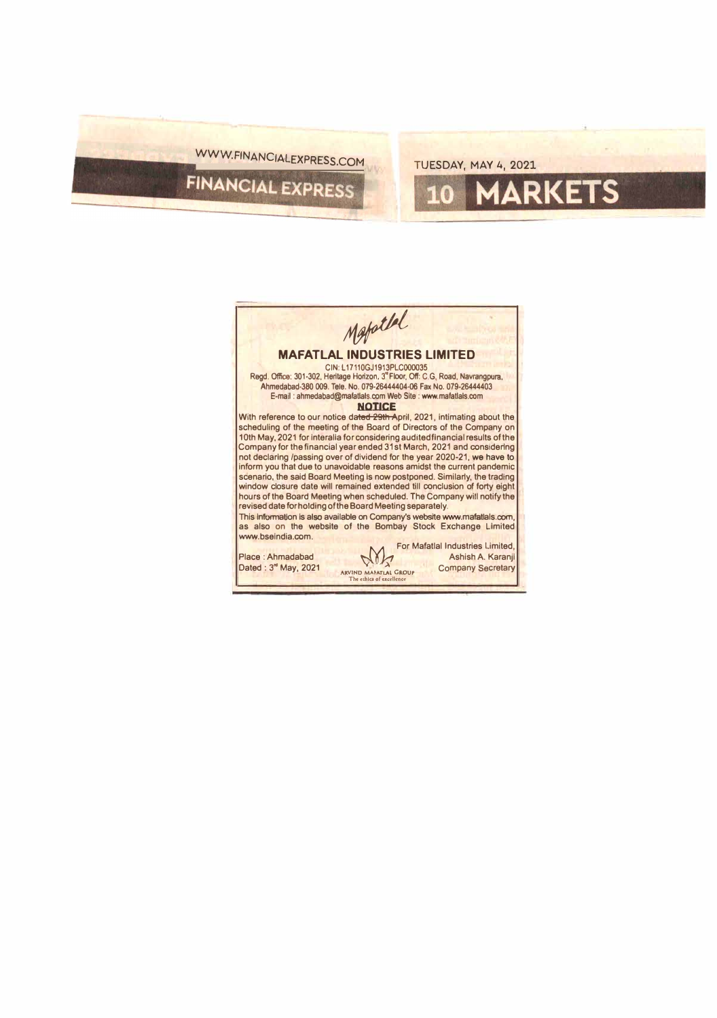## WWW.FINANCIALEXPRESS.COM TUESDAY, MAY 4, 2021

10

**MARKETS** 

Mapatlel **MAFATLAL INDUSTRIES LIMITED**  CIN: L 17110GJ1913PLC000035 Regd. Office: 301-302, Heritage Horizon, 3• Floor, Off: C.G, Road, Navrangpura, Ahmedabad-380 009. Tele. No. 079-26444404-06 Fax No. 079-26444403 E-mail : ahmedabad@mafatlals.com Web Site : www.mafatlals.com **NOTICE**  With reference to our notice dated 29th April, 2021, intimating about the scheduling of the meeting of the Board of Directors of the Company on 10th May, 2021 for lnteralla for consldering audited financial results of the Company for the financial year ended 31st March, 2021 and considering not declaring /passing over of dividend for the year 2020-21, we have to inform you that due to unavoidable reasons amidst the current pandemic scenario, the said Board Meeting Is now postponed. Similarly, the trading window closure date will remained extended till conclusion of forty eight hours of the Board Meeting when scheduled. The Company will notify the revised date for holding of the Board Meeting separately. This information is also available on Company's website www.mafatlals.com as also on the website of the Bombay Stock Exchange Limited www.bselndia.com. Place : Ahmadabad Dated : 3<sup>rd</sup> May, 2021 For Mafatlal Industries Limited,<br>Ashish A. Karanji **Ashish A. Karanji**<br>ARVIND MAPATLAL GROUP COMPANY Secretary **The cthics of excellence**